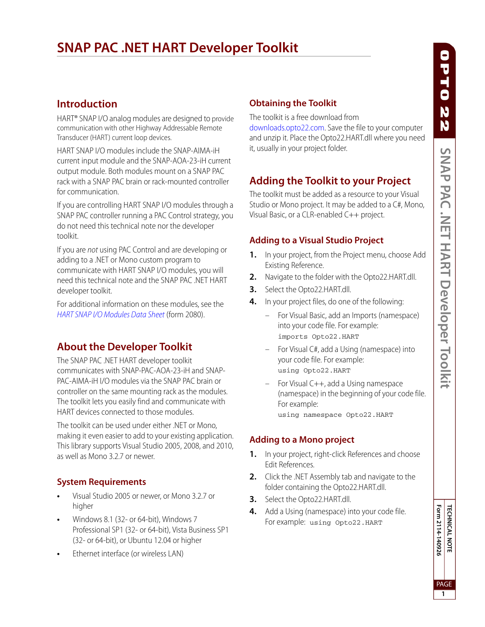# **SNAP PAC .NET HART Developer Toolkit**

### **Introduction**

HART® SNAP I/O analog modules are designed to provide communication with other Highway Addressable Remote Transducer (HART) current loop devices.

HART SNAP I/O modules include the SNAP-AIMA-iH current input module and the SNAP-AOA-23-iH current output module. Both modules mount on a SNAP PAC rack with a SNAP PAC brain or rack-mounted controller for communication.

If you are controlling HART SNAP I/O modules through a SNAP PAC controller running a PAC Control strategy, you do not need this technical note nor the developer toolkit.

If you are not using PAC Control and are developing or adding to a .NET or Mono custom program to communicate with HART SNAP I/O modules, you will need this technical note and the SNAP PAC .NET HART developer toolkit.

For additional information on these modules, see the [HART SNAP I/O Modules Data Sheet](http://www.opto22.com/site/documents/doc_drilldown.aspx?aid=4451) (form 2080).

### **About the Developer Toolkit**

The SNAP PAC .NET HART developer toolkit communicates with SNAP-PAC-AOA-23-iH and SNAP-PAC-AIMA-iH I/O modules via the SNAP PAC brain or controller on the same mounting rack as the modules. The toolkit lets you easily find and communicate with HART devices connected to those modules.

The toolkit can be used under either .NET or Mono, making it even easier to add to your existing application. This library supports Visual Studio 2005, 2008, and 2010, as well as Mono 3.2.7 or newer.

#### **System Requirements**

- **•** Visual Studio 2005 or newer, or Mono 3.2.7 or higher
- **•** Windows 8.1 (32- or 64-bit), Windows 7 Professional SP1 (32- or 64-bit), Vista Business SP1 (32- or 64-bit), or Ubuntu 12.04 or higher
- **•** Ethernet interface (or wireless LAN)

#### **Obtaining the Toolkit**

The toolkit is a free download from [downloads.opto22.com.](http://www.opto22.com/site/downloads/dl_downloads.aspx?cid=8) Save the file to your computer

and unzip it. Place the Opto22.HART.dll where you need it, usually in your project folder.

## **Adding the Toolkit to your Project**

The toolkit must be added as a resource to your Visual Studio or Mono project. It may be added to a C#, Mono, Visual Basic, or a CLR-enabled C++ project.

#### **Adding to a Visual Studio Project**

- **1.** In your project, from the Project menu, choose Add Existing Reference.
- **2.** Navigate to the folder with the Opto22.HART.dll.
- **3.** Select the Opto22.HART.dll.
- **4.** In your project files, do one of the following:
	- For Visual Basic, add an Imports (namespace) into your code file. For example: imports Opto22.HART
	- For Visual C#, add a Using (namespace) into your code file. For example: using Opto22.HART
	- For Visual C++, add a Using namespace (namespace) in the beginning of your code file. For example: using namespace Opto22.HART

### **Adding to a Mono project**

- **1.** In your project, right-click References and choose Edit References.
- **2.** Click the .NET Assembly tab and navigate to the folder containing the Opto22.HART.dll.
- **3.** Select the Opto22.HART.dll.
- **4.** Add a Using (namespace) into your code file. For example: using Opto22.HART